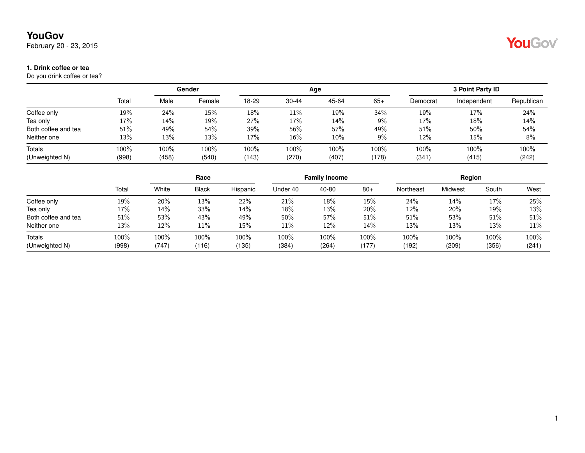February 20 - 23, 2015

#### **1. Drink coffee or tea**

Do you drink coffee or tea?

|                     |       |         | Gender |       |           | Age   | 3 Point Party ID |          |             |            |
|---------------------|-------|---------|--------|-------|-----------|-------|------------------|----------|-------------|------------|
|                     | Total | Male    | Female | 18-29 | $30 - 44$ | 45-64 | $65+$            | Democrat | Independent | Republican |
| Coffee only         | 19%   | 24%     | 15%    | 18%   | 11%       | 19%   | 34%              | 19%      | 17%         | 24%        |
| Tea only            | 17%   | 14%     | 19%    | 27%   | 17%       | 14%   | $9\%$            | 17%      | 18%         | 14%        |
| Both coffee and tea | 51%   | 49%     | 54%    | 39%   | 56%       | 57%   | 49%              | 51%      | 50%         | 54%        |
| Neither one         | 13%   | 13%     | 13%    | 17%   | 16%       | 10%   | $9\%$            | 12%      | 15%         | 8%         |
| Totals              | 100%  | $100\%$ | 100%   | 100%  | 100%      | 100%  | 100%             | 100%     | 100%        | 100%       |
| (Unweighted N)      | (998) | (458)   | (540)  | 143)  | (270)     | (407) | (178)            | (341)    | (415)       | (242)      |

|                     |       | Race  |              |          | <b>Family Income</b> |         |       | Region    |         |       |       |
|---------------------|-------|-------|--------------|----------|----------------------|---------|-------|-----------|---------|-------|-------|
|                     | Total | White | <b>Black</b> | Hispanic | Under 40             | 40-80   | $80+$ | Northeast | Midwest | South | West  |
| Coffee only         | 19%   | 20%   | 13%          | 22%      | 21%                  | 18%     | 15%   | 24%       | 14%     | 17%   | 25%   |
| Tea only            | 17%   | 14%   | 33%          | 14%      | 18%                  | 13%     | 20%   | 12%       | 20%     | 19%   | 13%   |
| Both coffee and tea | 51%   | 53%   | 43%          | 49%      | 50%                  | 57%     | 51%   | 51%       | 53%     | 51%   | 51%   |
| Neither one         | 13%   | 12%   | 11%          | 15%      | $11\%$               | 12%     | 14%   | 13%       | 13%     | 13%   | 11%   |
| Totals              | 100%  | 100%  | 100%         | $100\%$  | 100%                 | $100\%$ | 100%  | 100%      | 100%    | 100%  | 100%  |
| (Unweighted N)      | (998) | (747) | (116)        | (135)    | (384)                | (264)   | (177) | (192)     | (209)   | (356) | (241) |

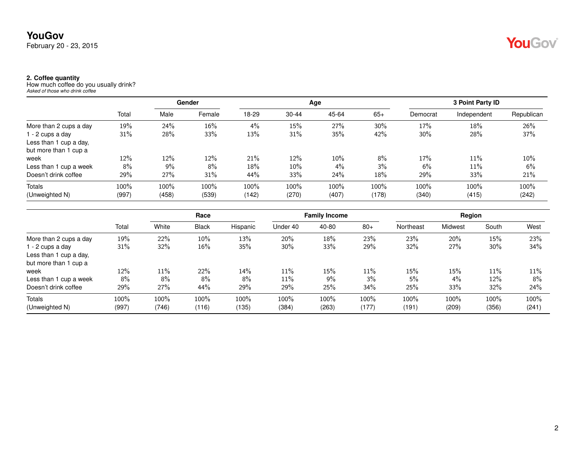#### **2. Coffee quantity**

How much coffee do you usually drink? *Asked of those who drink coffee*

|                        |       |       | Gender |       |           | Age   |       |          | 3 Point Party ID |            |
|------------------------|-------|-------|--------|-------|-----------|-------|-------|----------|------------------|------------|
|                        | Total | Male  | Female | 18-29 | $30 - 44$ | 45-64 | $65+$ | Democrat | Independent      | Republican |
| More than 2 cups a day | 19%   | 24%   | 16%    | 4%    | 15%       | 27%   | 30%   | 17%      | 18%              | 26%        |
| 1 - 2 cups a day       | 31%   | 28%   | 33%    | 13%   | 31%       | 35%   | 42%   | 30%      | 28%              | 37%        |
| Less than 1 cup a day, |       |       |        |       |           |       |       |          |                  |            |
| but more than 1 cup a  |       |       |        |       |           |       |       |          |                  |            |
| week                   | 12%   | 12%   | 12%    | 21%   | 12%       | 10%   | 8%    | 17%      | 11%              | 10%        |
| Less than 1 cup a week | 8%    | $9\%$ | 8%     | 18%   | 10%       | $4\%$ | $3\%$ | 6%       | 11%              | 6%         |
| Doesn't drink coffee   | 29%   | 27%   | 31%    | 44%   | 33%       | 24%   | 18%   | 29%      | 33%              | 21%        |
| Totals                 | 100%  | 100%  | 100%   | 100%  | 100%      | 100%  | 100%  | 100%     | 100%             | 100%       |
| (Unweighted N)         | (997) | (458) | (539)  | (142) | (270)     | (407) | (178) | (340)    | (415)            | (242)      |

|                        |       |        | Race         |          | <b>Family Income</b> |       |       | Region    |         |        |       |
|------------------------|-------|--------|--------------|----------|----------------------|-------|-------|-----------|---------|--------|-------|
|                        | Total | White  | <b>Black</b> | Hispanic | Under 40             | 40-80 | $80+$ | Northeast | Midwest | South  | West  |
| More than 2 cups a day | 19%   | 22%    | 10%          | 13%      | 20%                  | 18%   | 23%   | 23%       | 20%     | 15%    | 23%   |
| l - 2 cups a day       | 31%   | 32%    | 16%          | 35%      | $30\%$               | 33%   | 29%   | 32%       | 27%     | $30\%$ | 34%   |
| Less than 1 cup a day, |       |        |              |          |                      |       |       |           |         |        |       |
| but more than 1 cup a  |       |        |              |          |                      |       |       |           |         |        |       |
| week                   | 12%   | $11\%$ | 22%          | 14%      | $11\%$               | 15%   | 11%   | 15%       | 15%     | 11%    | 11%   |
| Less than 1 cup a week | 8%    | 8%     | 8%           | 8%       | 11%                  | 9%    | 3%    | 5%        | $4\%$   | 12%    | 8%    |
| Doesn't drink coffee   | 29%   | 27%    | 44%          | 29%      | 29%                  | 25%   | 34%   | 25%       | 33%     | 32%    | 24%   |
| Totals                 | 100%  | 100%   | 100%         | 100%     | 100%                 | 100%  | 100%  | 100%      | 100%    | 100%   | 100%  |
| (Unweighted N)         | (997) | (746)  | (116)        | (135)    | (384)                | (263) | (177) | (191)     | (209)   | (356)  | (241) |

YouGov®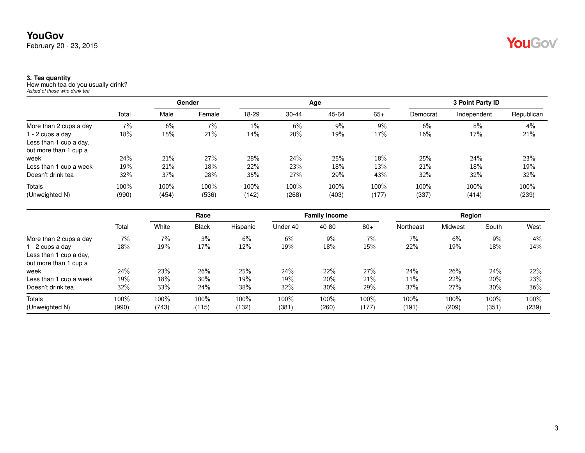### **YouGov** February 20 - 23, 2015

#### **3. Tea quantity**

How much tea do you usually drink? *Asked of those who drink tea*

|                        |       |       | Gender |       |           | Age   |        |          | 3 Point Party ID |            |
|------------------------|-------|-------|--------|-------|-----------|-------|--------|----------|------------------|------------|
|                        | Total | Male  | Female | 18-29 | $30 - 44$ | 45-64 | $65+$  | Democrat | Independent      | Republican |
| More than 2 cups a day | 7%    | 6%    | 7%     | $1\%$ | 6%        | 9%    | 9%     | 6%       | 8%               | 4%         |
| 1 - 2 cups a day       | 18%   | 15%   | 21%    | 14%   | 20%       | 19%   | 17%    | 16%      | 17%              | 21%        |
| Less than 1 cup a day, |       |       |        |       |           |       |        |          |                  |            |
| but more than 1 cup a  |       |       |        |       |           |       |        |          |                  |            |
| week                   | 24%   | 21%   | 27%    | 28%   | 24%       | 25%   | $18\%$ | 25%      | 24%              | 23%        |
| Less than 1 cup a week | 19%   | 21%   | 18%    | 22%   | 23%       | 18%   | 13%    | 21%      | 18%              | 19%        |
| Doesn't drink tea      | 32%   | 37%   | 28%    | 35%   | 27%       | 29%   | 43%    | 32%      | 32%              | 32%        |
| Totals                 | 100%  | 100%  | 100%   | 100%  | 100%      | 100%  | 100%   | 100%     | 100%             | 100%       |
| (Unweighted N)         | (990) | (454) | (536)  | (142) | (268)     | (403) | (177)  | (337)    | (414)            | (239)      |

|                        |       |       | Race         |          |          | <b>Family Income</b> |       |           | Region  |       |       |
|------------------------|-------|-------|--------------|----------|----------|----------------------|-------|-----------|---------|-------|-------|
|                        | Total | White | <b>Black</b> | Hispanic | Under 40 | 40-80                | $80+$ | Northeast | Midwest | South | West  |
| More than 2 cups a day | 7%    | 7%    | 3%           | 6%       | 6%       | 9%                   | 7%    | $7\%$     | 6%      | 9%    | 4%    |
| 1 - 2 cups a day       | 18%   | 19%   | 17%          | 12%      | 19%      | 18%                  | 15%   | 22%       | 19%     | 18%   | 14%   |
| Less than 1 cup a day, |       |       |              |          |          |                      |       |           |         |       |       |
| but more than 1 cup a  |       |       |              |          |          |                      |       |           |         |       |       |
| week                   | 24%   | 23%   | 26%          | 25%      | 24%      | 22%                  | 27%   | 24%       | 26%     | 24%   | 22%   |
| Less than 1 cup a week | 19%   | 18%   | 30%          | 19%      | 19%      | 20%                  | 21%   | 11%       | 22%     | 20%   | 23%   |
| Doesn't drink tea      | 32%   | 33%   | 24%          | 38%      | 32%      | $30\%$               | 29%   | 37%       | 27%     | 30%   | 36%   |
| <b>Totals</b>          | 100%  | 100%  | 100%         | 100%     | 100%     | 100%                 | 100%  | 100%      | 100%    | 100%  | 100%  |
| (Unweighted N)         | (990) | (743) | (115)        | (132)    | (381)    | (260)                | (177) | (191)     | (209)   | (351) | (239) |

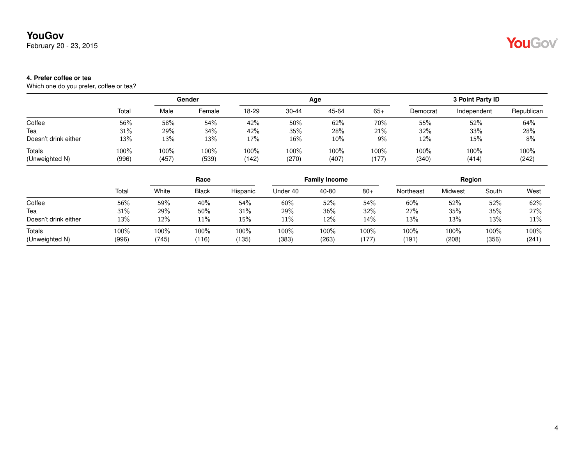February 20 - 23, 2015

# YouGov®

#### **4. Prefer coffee or tea**

Which one do you prefer, coffee or tea?

|                                 |               |               | Gender        |               |               | Age           |               |               | 3 Point Party ID |               |
|---------------------------------|---------------|---------------|---------------|---------------|---------------|---------------|---------------|---------------|------------------|---------------|
|                                 | Total         | Male          | Female        | 18-29         | $30 - 44$     | 45-64         | $65+$         | Democrat      | Independent      | Republican    |
| Coffee                          | 56%           | 58%           | 54%           | 42%           | 50%           | 62%           | 70%           | 55%           | 52%              | 64%           |
| Tea                             | 31%           | 29%           | 34%           | 42%           | 35%           | 28%           | 21%           | 32%           | 33%              | 28%           |
| Doesn't drink either            | 13%           | 13%           | 13%           | 17%           | 16%           | 10%           | 9%            | 12%           | 15%              | 8%            |
| <b>Totals</b><br>(Unweighted N) | 100%<br>(996) | 100%<br>(457) | 100%<br>(539) | 100%<br>(142) | 100%<br>(270) | 100%<br>(407) | 100%<br>(177) | 100%<br>(340) | 100%<br>(414)    | 100%<br>(242) |

|                          | Race          |                  |               | <b>Family Income</b> |               |               | Region        |                 |               |               |               |
|--------------------------|---------------|------------------|---------------|----------------------|---------------|---------------|---------------|-----------------|---------------|---------------|---------------|
|                          | Total         | White            | <b>Black</b>  | Hispanic             | Under 40      | 40-80         | $80+$         | Northeast       | Midwest       | South         | West          |
| Coffee                   | 56%           | 59%              | 40%           | 54%                  | 60%           | 52%           | 54%           | 60%             | 52%           | 52%           | 62%           |
| Tea                      | 31%           | 29%              | 50%           | 31%                  | 29%           | 36%           | 32%           | 27%             | 35%           | 35%           | 27%           |
| Doesn't drink either     | 13%           | 12%              | 11%           | 15%                  | 11%           | 12%           | 14%           | 13%             | 13%           | 13%           | 11%           |
| Totals<br>(Unweighted N) | 100%<br>(996) | $100\%$<br>(745) | 100%<br>(116) | 100%<br>(135)        | 100%<br>(383) | 100%<br>(263) | 100%<br>(177) | $100\%$<br>(191 | 100%<br>(208) | 100%<br>(356) | 100%<br>(241) |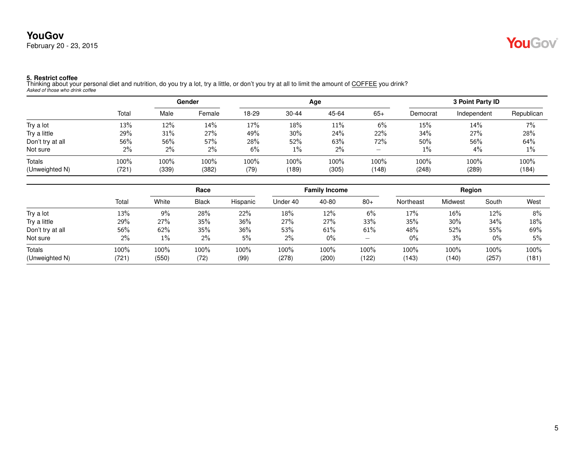### **YouGov** February 20 - 23, 2015



**5. Restrict coffee**<br>Thinking about your personal diet and nutrition, do you try a lot, try a little, or don't you try at all to limit the amount of <u>COFFEE</u> you drink?<br>*Asked of those who drink coffee* 

|                  |       | Gender |        |       |           | Age   | 3 Point Party ID |          |             |            |
|------------------|-------|--------|--------|-------|-----------|-------|------------------|----------|-------------|------------|
|                  | Total | Male   | Female | 18-29 | $30 - 44$ | 45-64 | $65+$            | Democrat | Independent | Republican |
| Try a lot        | 13%   | 12%    | 14%    | 17%   | 18%       | 11%   | 6%               | 15%      | 14%         | 7%         |
| Try a little     | 29%   | 31%    | 27%    | 49%   | 30%       | 24%   | 22%              | 34%      | 27%         | 28%        |
| Don't try at all | 56%   | 56%    | 57%    | 28%   | 52%       | 63%   | 72%              | 50%      | 56%         | 64%        |
| Not sure         | $2\%$ | $2\%$  | $2\%$  | 6%    | $1\%$     | 2%    | -                | $1\%$    | $4\%$       | 1%         |
| <b>Totals</b>    | 100%  | 100%   | 100%   | 100%  | 100%      | 100%  | 100%             | 100%     | 100%        | 100%       |
| (Unweighted N)   | (721) | (339)  | (382)  | (79)  | (189)     | (305) | (148)            | (248)    | (289)       | (184)      |

|                  |       | Race    |              |          | <b>Family Income</b> |       |                          | Region    |         |       |       |
|------------------|-------|---------|--------------|----------|----------------------|-------|--------------------------|-----------|---------|-------|-------|
|                  | Total | White   | <b>Black</b> | Hispanic | Under 40             | 40-80 | $80+$                    | Northeast | Midwest | South | West  |
| Try a lot        | 13%   | 9%      | 28%          | 22%      | 18%                  | 12%   | 6%                       | 17%       | $16\%$  | 12%   | 8%    |
| Try a little     | 29%   | 27%     | 35%          | 36%      | 27%                  | 27%   | 33%                      | 35%       | 30%     | 34%   | 18%   |
| Don't try at all | 56%   | 62%     | 35%          | 36%      | 53%                  | 61%   | 61%                      | 48%       | $52\%$  | 55%   | 69%   |
| Not sure         | 2%    | $1\%$   | $2\%$        | 5%       | 2%                   | $0\%$ | $\overline{\phantom{0}}$ | $0\%$     | 3%      | $0\%$ | 5%    |
| Totals           | 100%  | $100\%$ | 100%         | 100%     | 100%                 | 100%  | 100%                     | 100%      | 100%    | 100%  | 100%  |
| (Unweighted N)   | (721) | (550)   | (72)         | (99)     | (278)                | (200) | (122)                    | (143)     | (140)   | (257) | (181) |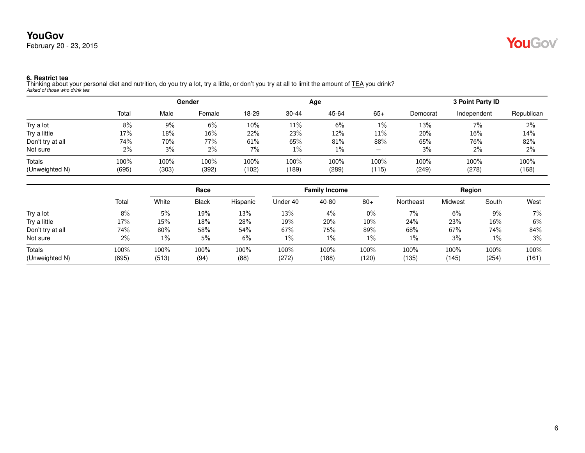

**6. Restrict tea**<br>Thinking about your personal diet and nutrition, do you try a lot, try a little, or don't you try at all to limit the amount of <u>TEA</u> you drink?<br>*Asked of those who drink tea* 

|                  |       |       | Gender |       |           | Age   | 3 Point Party ID                        |          |             |            |
|------------------|-------|-------|--------|-------|-----------|-------|-----------------------------------------|----------|-------------|------------|
|                  | Total | Male  | Female | 18-29 | $30 - 44$ | 45-64 | $65+$                                   | Democrat | Independent | Republican |
| Try a lot        | 8%    | $9\%$ | 6%     | 10%   | 11%       | 6%    | $1\%$                                   | 13%      | 7%          | $2\%$      |
| Try a little     | 17%   | 18%   | 16%    | 22%   | 23%       | 12%   | 11%                                     | 20%      | 16%         | 14%        |
| Don't try at all | 74%   | 70%   | 77%    | 61%   | 65%       | 81%   | 88%                                     | 65%      | 76%         | 82%        |
| Not sure         | 2%    | 3%    | 2%     | 7%    | $1\%$     | $1\%$ | $\hspace{1.0cm} \overline{\phantom{0}}$ | 3%       | 2%          | 2%         |
| Totals           | 100%  | 100%  | 100%   | 100%  | 100%      | 100%  | 100%                                    | 100%     | 100%        | 100%       |
| (Unweighted N)   | (695) | (303) | (392)  | (102) | (189)     | (289) | (115)                                   | (249)    | (278)       | (168)      |

|                  |       | Race  |              |          | <b>Family Income</b> |       |       | Region    |         |        |       |
|------------------|-------|-------|--------------|----------|----------------------|-------|-------|-----------|---------|--------|-------|
|                  | Total | White | <b>Black</b> | Hispanic | Under 40             | 40-80 | $80+$ | Northeast | Midwest | South  | West  |
| Try a lot        | 8%    | 5%    | 19%          | 13%      | 13%                  | $4\%$ | $0\%$ | 7%        | 6%      | 9%     | $7\%$ |
| Try a little     | 17%   | 15%   | 18%          | 28%      | 19%                  | 20%   | 10%   | 24%       | 23%     | $16\%$ | 6%    |
| Don't try at all | 74%   | 80%   | 58%          | 54%      | 67%                  | 75%   | 89%   | 68%       | 67%     | 74%    | 84%   |
| Not sure         | 2%    | $1\%$ | 5%           | 6%       | $1\%$                | $1\%$ | $1\%$ | 1%        | 3%      | $1\%$  | $3\%$ |
| Totals           | 100%  | 100%  | 100%         | 100%     | 100%                 | 100%  | 100%  | 100%      | 100%    | 100%   | 100%  |
| (Unweighted N)   | (695) | (513) | (94)         | (88)     | (272)                | (188) | (120) | (135)     | (145)   | (254)  | (161) |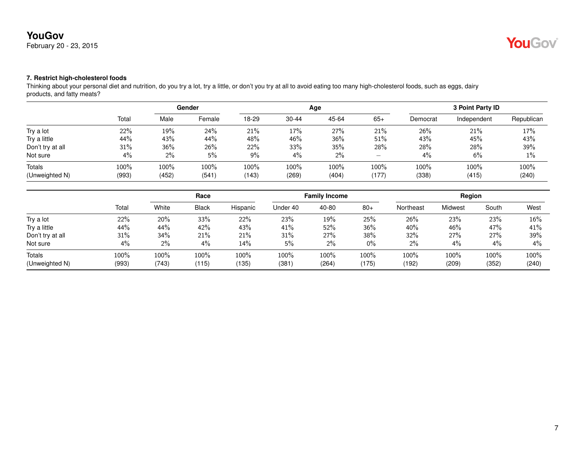February 20 - 23, 2015

# YouGov®

### **7. Restrict high-cholesterol foods**

Thinking about your personal diet and nutrition, do you try a lot, try a little, or don't you try at all to avoid eating too many high-cholesterol foods, such as eggs, dairy products, and fatty meats?

|                  |       | Gender |        |       |           | Age   | 3 Point Party ID |          |             |            |
|------------------|-------|--------|--------|-------|-----------|-------|------------------|----------|-------------|------------|
|                  | Total | Male   | Female | 18-29 | $30 - 44$ | 45-64 | $65+$            | Democrat | Independent | Republican |
| Try a lot        | 22%   | 19%    | 24%    | 21%   | 17%       | 27%   | 21%              | 26%      | 21%         | 17%        |
| Try a little     | 44%   | 43%    | 44%    | 48%   | 46%       | 36%   | 51%              | 43%      | 45%         | 43%        |
| Don't try at all | 31%   | 36%    | 26%    | 22%   | 33%       | 35%   | 28%              | 28%      | 28%         | 39%        |
| Not sure         | 4%    | $2\%$  | 5%     | 9%    | 4%        | 2%    |                  | 4%       | 6%          | $1\%$      |
| <b>Totals</b>    | 100%  | 100%   | 100%   | 100%  | 100%      | 100%  | 100%             | 100%     | 100%        | 100%       |
| (Unweighted N)   | (993) | (452)  | (541)  | (143) | (269)     | (404) | (177)            | (338)    | (415)       | (240)      |

|                          |               |               | Race          |               |               | <b>Family Income</b> |                  |               | Region         |               |               |
|--------------------------|---------------|---------------|---------------|---------------|---------------|----------------------|------------------|---------------|----------------|---------------|---------------|
|                          | Total         | White         | <b>Black</b>  | Hispanic      | Under 40      | 40-80                | $80+$            | Northeast     | <b>Midwest</b> | South         | West          |
| Try a lot                | 22%           | 20%           | 33%           | 22%           | 23%           | 19%                  | 25%              | 26%           | 23%            | 23%           | 16%           |
| Try a little             | 44%           | 44%           | 42%           | 43%           | 41%           | 52%                  | 36%              | 40%           | 46%            | 47%           | 41%           |
| Don't try at all         | 31%           | 34%           | 21%           | 21%           | 31%           | 27%                  | 38%              | 32%           | 27%            | 27%           | 39%           |
| Not sure                 | 4%            | 2%            | 4%            | 14%           | 5%            | $2\%$                | $0\%$            | 2%            | $4\%$          | $4\%$         | $4\%$         |
| Totals<br>(Unweighted N) | 100%<br>(993) | 100%<br>(743) | 100%<br>(115) | 100%<br>(135) | 100%<br>(381) | 100%<br>(264)        | $100\%$<br>(175) | 100%<br>(192) | 100%<br>(209)  | 100%<br>(352) | 100%<br>(240) |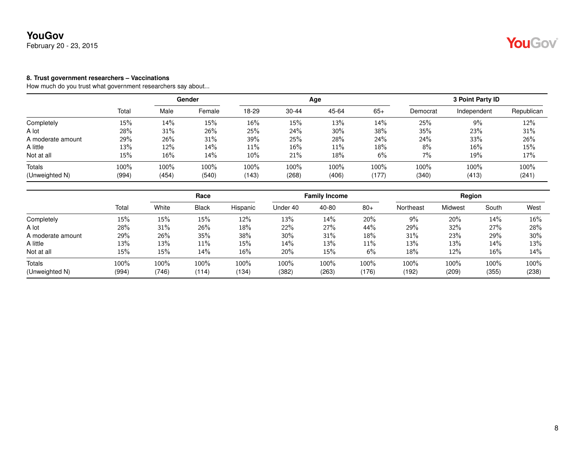February 20 - 23, 2015

#### **8. Trust government researchers – Vaccinations**

|                   |       |       | Gender |       |           | Age   |       |          | <b>3 Point Party ID</b> |            |
|-------------------|-------|-------|--------|-------|-----------|-------|-------|----------|-------------------------|------------|
|                   | Total | Male  | Female | 18-29 | $30 - 44$ | 45-64 | $65+$ | Democrat | Independent             | Republican |
| Completely        | 15%   | 14%   | 15%    | 16%   | 15%       | 13%   | 14%   | 25%      | 9%                      | 12%        |
| A lot             | 28%   | 31%   | 26%    | 25%   | 24%       | 30%   | 38%   | 35%      | 23%                     | 31%        |
| A moderate amount | 29%   | 26%   | 31%    | 39%   | 25%       | 28%   | 24%   | 24%      | 33%                     | 26%        |
| A little          | 13%   | 12%   | 14%    | 11%   | 16%       | 11%   | 18%   | 8%       | 16%                     | 15%        |
| Not at all        | 15%   | 16%   | 14%    | 10%   | 21%       | 18%   | 6%    | 7%       | 19%                     | 17%        |
| Totals            | 100%  | 100%  | 100%   | 100%  | 100%      | 100%  | 100%  | 100%     | 100%                    | 100%       |
| (Unweighted N)    | (994) | (454) | (540)  | (143) | (268)     | (406) | (177) | (340)    | (413)                   | (241)      |

|                   |       | Race  |              |          | <b>Family Income</b> |         |       | Region    |         |       |        |
|-------------------|-------|-------|--------------|----------|----------------------|---------|-------|-----------|---------|-------|--------|
|                   | Total | White | <b>Black</b> | Hispanic | Under 40             | 40-80   | $80+$ | Northeast | Midwest | South | West   |
| Completely        | 15%   | 15%   | 15%          | 12%      | 13%                  | 14%     | 20%   | 9%        | 20%     | 14%   | $16\%$ |
| A lot             | 28%   | 31%   | 26%          | 18%      | 22%                  | 27%     | 44%   | 29%       | 32%     | 27%   | 28%    |
| A moderate amount | 29%   | 26%   | 35%          | 38%      | $30\%$               | 31%     | 18%   | 31%       | 23%     | 29%   | $30\%$ |
| A little          | 13%   | 13%   | 11%          | 15%      | 14%                  | 13%     | 11%   | 13%       | 13%     | 14%   | 13%    |
| Not at all        | 15%   | 15%   | 14%          | $16\%$   | 20%                  | 15%     | 6%    | 18%       | $12\%$  | 16%   | 14%    |
| Totals            | 100%  | 100%  | 100%         | 100%     | 100%                 | $100\%$ | 100%  | 100%      | 100%    | 100%  | 100%   |
| (Unweighted N)    | (994) | (746) | (114)        | (134)    | (382)                | (263)   | (176) | (192)     | (209)   | (355) | (238)  |

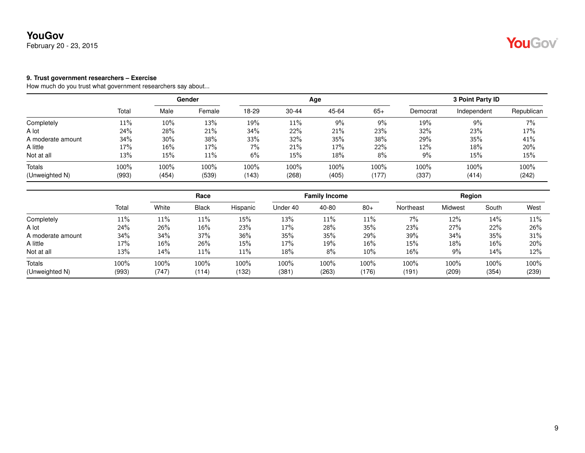February 20 - 23, 2015

#### **9. Trust government researchers – Exercise**

|                   |       |       | Gender |       |           | Age   |       |          | <b>3 Point Party ID</b> |            |
|-------------------|-------|-------|--------|-------|-----------|-------|-------|----------|-------------------------|------------|
|                   | Total | Male  | Female | 18-29 | $30 - 44$ | 45-64 | $65+$ | Democrat | Independent             | Republican |
| Completely        | 11%   | 10%   | 13%    | 19%   | 11%       | 9%    | 9%    | 19%      | 9%                      | 7%         |
| A lot             | 24%   | 28%   | 21%    | 34%   | 22%       | 21%   | 23%   | 32%      | 23%                     | 17%        |
| A moderate amount | 34%   | 30%   | 38%    | 33%   | 32%       | 35%   | 38%   | 29%      | 35%                     | 41%        |
| A little          | 17%   | 16%   | 17%    | 7%    | 21%       | 17%   | 22%   | 12%      | 18%                     | 20%        |
| Not at all        | 13%   | 15%   | 11%    | 6%    | 15%       | 18%   | 8%    | 9%       | 15%                     | 15%        |
| Totals            | 100%  | 100%  | 100%   | 100%  | 100%      | 100%  | 100%  | 100%     | 100%                    | 100%       |
| (Unweighted N)    | (993) | (454) | (539)  | (143) | (268)     | (405) | (177) | (337)    | (414)                   | (242)      |

|                          |               | Race          |               | <b>Family Income</b> |              |               | Region        |               |               |               |               |
|--------------------------|---------------|---------------|---------------|----------------------|--------------|---------------|---------------|---------------|---------------|---------------|---------------|
|                          | Total         | White         | <b>Black</b>  | Hispanic             | Under 40     | 40-80         | $80+$         | Northeast     | Midwest       | South         | West          |
| Completely               | 11%           | $11\%$        | 11%           | 15%                  | 13%          | 11%           | 11%           | 7%            | 12%           | 14%           | 11%           |
| A lot                    | 24%           | 26%           | 16%           | 23%                  | 17%          | 28%           | 35%           | 23%           | 27%           | 22%           | 26%           |
| A moderate amount        | 34%           | 34%           | 37%           | 36%                  | 35%          | 35%           | 29%           | 39%           | 34%           | 35%           | 31%           |
| A little                 | 17%           | $16\%$        | 26%           | $15\%$               | 17%          | 19%           | 16%           | 15%           | 18%           | 16%           | 20%           |
| Not at all               | 13%           | 14%           | 11%           | 11%                  | 18%          | 8%            | $10\%$        | 16%           | $9\%$         | 14%           | 12%           |
| Totals<br>(Unweighted N) | 100%<br>(993) | 100%<br>(747) | 100%<br>(114) | 100%<br>(132)        | 100%<br>(381 | 100%<br>(263) | 100%<br>(176) | 100%<br>(191) | 100%<br>(209) | 100%<br>(354) | 100%<br>(239) |

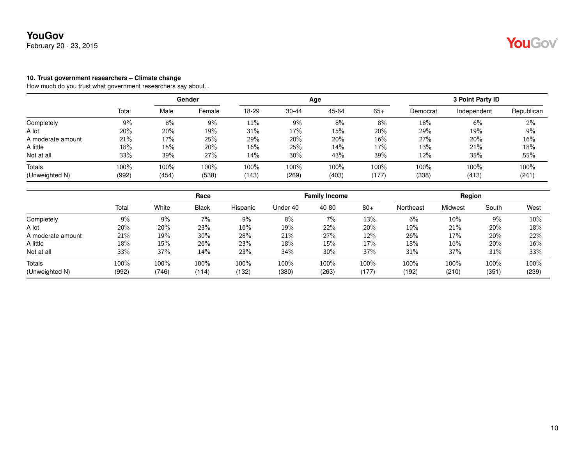February 20 - 23, 2015

#### **10. Trust government researchers – Climate change**

|                   |        | Gender |        |       |           | Age   | <b>3 Point Party ID</b> |          |             |            |
|-------------------|--------|--------|--------|-------|-----------|-------|-------------------------|----------|-------------|------------|
|                   | Total  | Male   | Female | 18-29 | $30 - 44$ | 45-64 | $65+$                   | Democrat | Independent | Republican |
| Completely        | 9%     | 8%     | 9%     | 11%   | 9%        | 8%    | 8%                      | 18%      | 6%          | 2%         |
| A lot             | 20%    | 20%    | 19%    | 31%   | 17%       | 15%   | 20%                     | 29%      | 19%         | 9%         |
| A moderate amount | 21%    | 17%    | 25%    | 29%   | 20%       | 20%   | 16%                     | 27%      | 20%         | 16%        |
| A little          | $18\%$ | 15%    | 20%    | 16%   | 25%       | 14%   | 17%                     | 13%      | 21%         | 18%        |
| Not at all        | 33%    | 39%    | 27%    | 14%   | 30%       | 43%   | 39%                     | 12%      | 35%         | 55%        |
| Totals            | 100%   | 100%   | 100%   | 100%  | 100%      | 100%  | 100%                    | 100%     | 100%        | 100%       |
| (Unweighted N)    | (992)  | (454)  | (538)  | (143) | (269)     | (403) | (177)                   | (338)    | (413)       | (241)      |

|                   |       | Race  |              |          | <b>Family Income</b> |        |        | Region    |         |       |        |
|-------------------|-------|-------|--------------|----------|----------------------|--------|--------|-----------|---------|-------|--------|
|                   | Total | White | <b>Black</b> | Hispanic | Under 40             | 40-80  | $80+$  | Northeast | Midwest | South | West   |
| Completely        | 9%    | 9%    | 7%           | $9\%$    | 8%                   | 7%     | 13%    | 6%        | $10\%$  | 9%    | $10\%$ |
| A lot             | 20%   | 20%   | 23%          | 16%      | 19%                  | 22%    | $20\%$ | 19%       | 21%     | 20%   | 18%    |
| A moderate amount | 21%   | 19%   | $30\%$       | 28%      | 21%                  | 27%    | 12%    | 26%       | 17%     | 20%   | 22%    |
| A little          | 18%   | 15%   | 26%          | 23%      | 18%                  | 15%    | 17%    | 18%       | $16\%$  | 20%   | 16%    |
| Not at all        | 33%   | 37%   | 14%          | 23%      | 34%                  | $30\%$ | 37%    | 31%       | 37%     | 31%   | 33%    |
| Totals            | 100%  | 100%  | 100%         | 100%     | 100%                 | 100%   | 100%   | 100%      | 100%    | 100%  | 100%   |
| (Unweighted N)    | (992) | (746) | (114)        | (132)    | (380)                | (263)  | (177)  | (192)     | (210)   | (351) | (239)  |

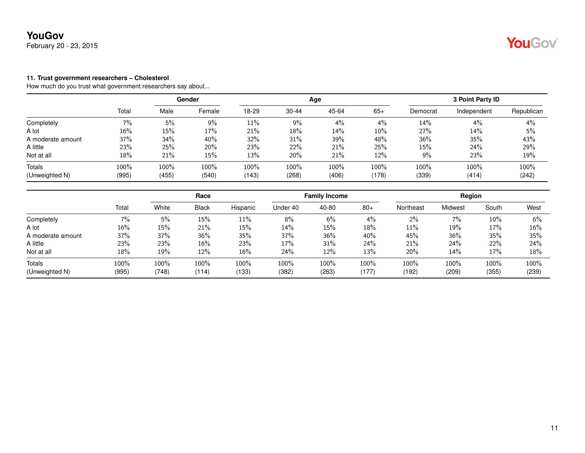February 20 - 23, 2015

#### **11. Trust government researchers – Cholesterol**

|                   |        |       | Gender |       |           | Age   |       |          | 3 Point Party ID |            |
|-------------------|--------|-------|--------|-------|-----------|-------|-------|----------|------------------|------------|
|                   | Total  | Male  | Female | 18-29 | $30 - 44$ | 45-64 | $65+$ | Democrat | Independent      | Republican |
| Completely        | 7%     | 5%    | 9%     | 11%   | 9%        | 4%    | 4%    | 14%      | 4%               | 4%         |
| A lot             | $16\%$ | 15%   | 17%    | 21%   | 18%       | 14%   | 10%   | 27%      | 14%              | 5%         |
| A moderate amount | 37%    | 34%   | 40%    | 32%   | 31%       | 39%   | 48%   | 36%      | 35%              | 43%        |
| A little          | 23%    | 25%   | 20%    | 23%   | 22%       | 21%   | 25%   | 15%      | 24%              | 29%        |
| Not at all        | 18%    | 21%   | 15%    | 13%   | 20%       | 21%   | 12%   | 9%       | 23%              | 19%        |
| Totals            | 100%   | 100%  | 100%   | 100%  | 100%      | 100%  | 100%  | 100%     | 100%             | 100%       |
| (Unweighted N)    | (995)  | (455) | (540)  | (143) | (268)     | (406) | (178) | (339)    | (414)            | (242)      |

|       | Race  |              | <b>Family Income</b> |          |       | Region |           |         |       |               |
|-------|-------|--------------|----------------------|----------|-------|--------|-----------|---------|-------|---------------|
| Total | White | <b>Black</b> | Hispanic             | Under 40 | 40-80 | $80+$  | Northeast | Midwest | South | West          |
| 7%    | 5%    | 15%          | $11\%$               | 8%       | 6%    | 4%     | 2%        | 7%      | 10%   | 6%            |
| 16%   | 15%   | 21%          | 15%                  | 14%      | 15%   | 18%    | 11%       | 19%     | 17%   | 16%           |
| 37%   | 37%   | 36%          | 35%                  | 37%      | 36%   | 40%    | 45%       | 36%     | 35%   | 35%           |
| 23%   | 23%   | 16%          | 23%                  | 17%      | 31%   | 24%    | 21%       | 24%     | 22%   | 24%           |
| 18%   | 19%   | 12%          | 16%                  | 24%      | 12%   | 13%    | 20%       | 14%     | 17%   | 18%           |
| 100%  | 100%  | 100%         | 100%                 | 100%     | 100%  | 100%   | 100%      | 100%    | 100%  | 100%<br>(239) |
|       | (995) | (748)        | (114)                | (133)    | (382) | (263)  | (177)     | (192)   | (209) | (355)         |